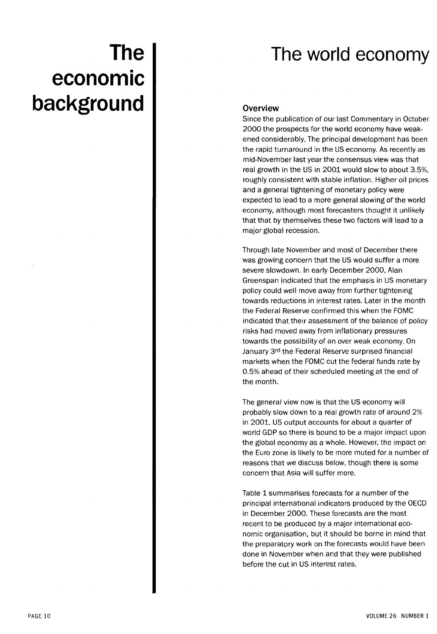# The world economy

# **The economic background**

### **Overview**

Since the publication of our last Commentary in October 2000 the prospects for the world economy have weakened considerably. The principal development has been the rapid turnaround in the US economy. As recently as mid-November last year the consensus view was that real growth in the US in 2001 would slow to about 3.5%, roughly consistent with stable inflation. Higher oil prices and a general tightening of monetary policy were expected to lead to a more general slowing of the world economy, although most forecasters thought it unlikely that that by themselves these two factors will lead to a major global recession.

Through late November and most of December there was growing concern that the US would suffer a more severe slowdown. In early December 2000, Alan Greenspan indicated that the emphasis in US monetary policy could well move away from further tightening towards reductions in interest rates. Later in the month the Federal Reserve confirmed this when the FOMC indicated that their assessment of the balance of policy risks had moved away from inflationary pressures towards the possibility of an over weak economy. On January 3rd the Federal Reserve surprised financial markets when the FOMC cut the federal funds rate by 0.5% ahead of their scheduled meeting at the end of the month.

The general view now is that the US economy will probably slow down to a real growth rate of around 2% in 2001. US output accounts for about a quarter of world GDP so there is bound to be a major impact upon the global economy as a whole. However, the impact on the Euro zone is likely to be more muted for a number of reasons that we discuss below, though there is some concern that Asia will suffer more.

Table 1 summarises forecasts for a number of the principal international indicators produced by the OECD in December 2000. These forecasts are the most recent to be produced by a major international economic organisation, but it should be borne in mind that the preparatory work on the forecasts would have been done in November when and that they were published before the cut in US interest rates.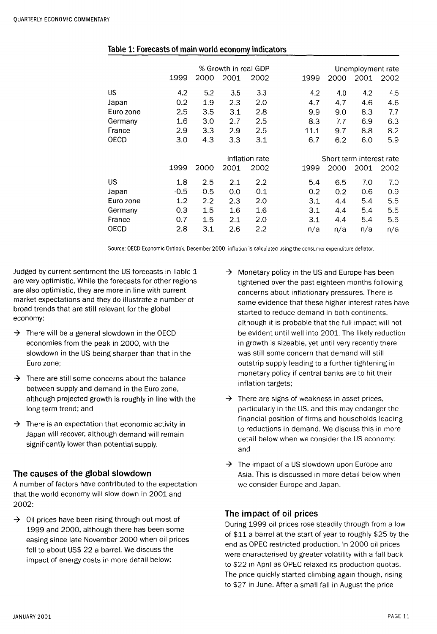|           | 1999   | 2000           | % Growth in real GDP<br>2001 | 2002   | 1999 | 2000                     | Unemployment rate<br>2001 | 2002 |
|-----------|--------|----------------|------------------------------|--------|------|--------------------------|---------------------------|------|
| US        | 4.2    | 5.2            | 3.5                          | 3.3    | 4.2  | 4.0                      | 4.2                       | 4.5  |
| Japan     | 0.2    | 1.9            | 2.3                          | 2.0    | 4.7  | 4.7                      | 4.6                       | 4.6  |
| Euro zone | 2.5    | 3.5            | 3.1                          | 2.8    | 9.9  | 9.0                      | 8.3                       | 7.7  |
| Germany   | 1.6    | 3.0            | 2.7                          | 2.5    | 8.3  | 7.7                      | 6.9                       | 6.3  |
| France    | 2.9    | 3.3            | 2.9                          | 2.5    | 11.1 | 9.7                      | 8.8                       | 8.2  |
| OECD      | 3.0    | 4.3            | 3.3                          | 3.1    | 6.7  | 6.2                      | 6.0                       | 5.9  |
|           |        |                |                              |        |      |                          |                           |      |
|           |        | Inflation rate |                              |        |      | Short term interest rate |                           |      |
|           | 1999   | 2000           | 2001                         | 2002   | 1999 | 2000                     | 2001                      | 2002 |
| US        | 1.8    | 2.5            | 2.1                          | 2.2    | 5.4  | 6.5                      | 7.0                       | 7.0  |
| Japan     | $-0.5$ | $-0.5$         | 0.0                          | $-0.1$ | 0.2  | 0.2                      | 0.6                       | 0.9  |
| Euro zone | 1.2    | 2.2            | 2.3                          | 2.0    | 3.1  | 4.4                      | 5.4                       | 5.5  |
| Germany   | 0.3    | 1.5            | 1.6                          | 1.6    | 3.1  | 4.4                      | 5.4                       | 5.5  |
| France    | 0.7    | 1.5            | 2.1                          | 2.0    | 3.1  | 4.4                      | 5.4                       | 5.5  |
| OECD      | 2.8    | 3.1            | 2.6                          | 2.2    | n/a  | n/a                      | n/a                       | n/a  |

#### Table 1: Forecasts of main world economy indicators

Source: OECD Economic Outlook, December 2000; inflation is calculated using the consumer expenditure deflator.

Judged by current sentiment the US forecasts in Table 1 are very optimistic. While the forecasts for other regions are also optimistic, they are more in line with current market expectations and they do illustrate a number of broad trends that are still relevant for the global economy:

- $\rightarrow$  There will be a general slowdown in the OECD economies from the peak in 2000, with the slowdown in the US being sharper than that in the Euro zone;
- $\rightarrow$  There are still some concerns about the balance between supply and demand in the Euro zone, although projected growth is roughly in line with the long term trend; and
- $\rightarrow$  There is an expectation that economic activity in Japan will recover, although demand will remain significantly lower than potential supply.

#### The causes of the global slowdown

A number of factors have contributed to the expectation that the world economy will slow down in 2001 and 2002:

 $\rightarrow$  Oil prices have been rising through out most of 1999 and 2000, although there has been some easing since late November 2000 when oil prices fell to about US\$ 22 a barrel. We discuss the impact of energy costs in more detail below;

- $\rightarrow$  Monetary policy in the US and Europe has been tightened over the past eighteen months following concerns about inflationary pressures. There is some evidence that these higher interest rates have started to reduce demand in both continents, although it is probable that the full impact will not be evident until well into 2001. The likely reduction in growth is sizeable, yet until very recently there was still some concern that demand will still outstrip supply leading to a further tightening in monetary policy if central banks are to hit their inflation targets;
- $\rightarrow$  There are signs of weakness in asset prices, particularly in the US, and this may endanger the financial position of firms and households leading to reductions in demand. We discuss this in more detail below when we consider the US economy; and
- $\rightarrow$  The impact of a US slowdown upon Europe and Asia. This is discussed in more detail below when we consider Europe and Japan.

## The impact of oil prices

During 1999 oil prices rose steadily through from a low of \$11 a barrel at the start of year to roughly \$25 by the end as OPEC restricted production. In 2000 oil prices were characterised by greater volatility with a fall back to \$22 in April as OPEC relaxed its production quotas. The price quickly started climbing again though, rising to \$27 in June. After a small fall in August the price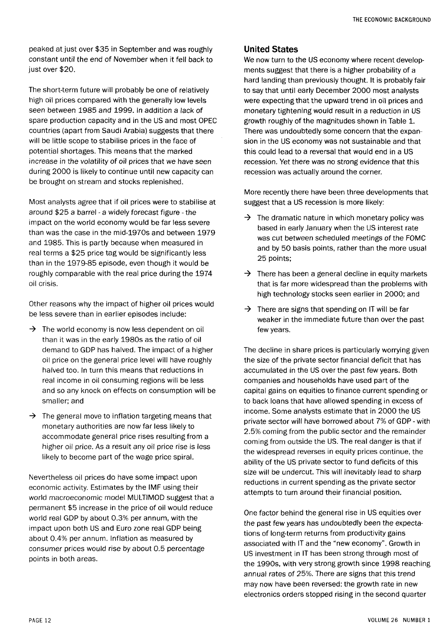peaked at just over \$35 in September and was roughly constant until the end of November when it fell back to just over \$20.

The short-term future will probably be one of relatively high oil prices compared with the generally low levels seen between 1985 and 1999. In addition a lack of spare production capacity and in the US and most OPEC countries (apart from Saudi Arabia) suggests that there will be little scope to stabilise prices in the face of potential shortages. This means that the marked increase in the volatility of oil prices that we have seen during 2000 is likely to continue until new capacity can be brought on stream and stocks replenished.

Most analysts agree that if oil prices were to stabilise at around \$25 a barrel - a widely forecast figure - the impact on the world economy would be far less severe than was the case in the mid-1970s and between 1979 and 1985. This is partly because when measured in real terms a \$25 price tag would be significantly less than in the 1979-85 episode, even though it would be roughly comparable with the real price during the 1974 oil crisis.

Other reasons why the impact of higher oil prices would be less severe than in earlier episodes include:

- $\rightarrow$  The world economy is now less dependent on oil than it was in the early 1980s as the ratio of oil demand to GDP has halved. The impact of a higher oil price on the general price level will have roughly halved too. In turn this means that reductions in real income in oil consuming regions will be less and so any knock on effects on consumption will be smaller; and
- $\rightarrow$  The general move to inflation targeting means that monetary authorities are now far less likely to accommodate general price rises resulting from a higher oil price. As a result any oil price rise is less likely to become part of the wage price spiral.

Nevertheless oil prices do have some impact upon economic activity. Estimates by the IMF using their world macroeconomic model MULTIMOD suggest that a permanent \$5 increase in the price of oil would reduce world real GDP by about 0.3% per annum, with the impact upon both US and Euro zone real GDP being about 0.4% per annum. Inflation as measured by consumer prices would rise by about 0.5 percentage points in both areas.

#### United States

We now turn to the US economy where recent developments suggest that there is a higher probability of a hard landing than previously thought. It is probably fair to say that until early December 2000 most analysts were expecting that the upward trend in oil prices and monetary tightening would result in a reduction in US growth roughly of the magnitudes shown in Table 1. There was undoubtedly some concern that the expansion in the US economy was not sustainable and that this could lead to a reversal that would end in a US recession. Yet there was no strong evidence that this recession was actually around the corner.

More recently there have been three developments that suggest that a US recession is more likely:

- $\rightarrow$  The dramatic nature in which monetary policy was based in early January when the US interest rate was cut between scheduled meetings of the FOMC and by 50 basis points, rather than the more usual 25 points;
- $\rightarrow$  There has been a general decline in equity markets that is far more widespread than the problems with high technology stocks seen earlier in 2000; and
- $\rightarrow$  There are signs that spending on IT will be far weaker in the immediate future than over the past few years.

The decline in share prices is particularly worrying given the size of the private sector financial deficit that has accumulated in the US over the past few years. Both companies and households have used part of the capital gains on equities to finance current spending or to back loans that have allowed spending in excess of income. Some analysts estimate that in 2000 the US private sector will have borrowed about 7% of GDP - with 2.5% coming from the public sector and the remainder coming from outside the US. The real danger is that if the widespread reverses in equity prices continue, the ability of the US private sector to fund deficits of this size will be undercut. This will inevitably lead to sharp reductions in current spending as the private sector attempts to turn around their financial position.

One factor behind the general rise in US equities over the past few years has undoubtedly been the expectations of long-term returns from productivity gains associated with IT and the "new economy". Growth in US investment in IT has been strong through most of the 1990s, with very strong growth since 1998 reaching annual rates of 25%. There are signs that this trend may now have been reversed: the growth rate in new electronics orders stopped rising in the second quarter